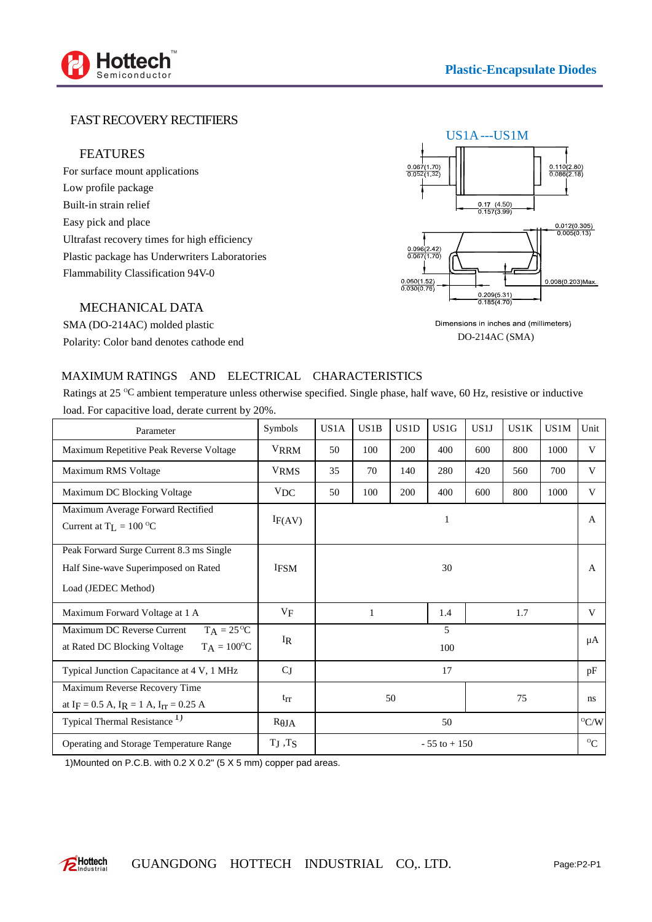

## FAST RECOVERY RECTIFIERS

### FEATURES

For surface mount applications Low profile package Built-in strain relief Easy pick and place Ultrafast recovery times for high efficiency Plastic package has Underwriters Laboratories Flammability Classification 94V-0



MECHANICAL DATA

SMA (DO-214AC) molded plastic Polarity: Color band denotes cathode end

#### Dimensions in inches and (millimeters) DO-214AC (SMA)

### MAXIMUM RATINGS AND ELECTRICAL CHARACTERISTICS

Ratings at 25  $\degree$ C ambient temperature unless otherwise specified. Single phase, half wave, 60 Hz, resistive or inductive load. For capacitive load, derate current by 20%.

| Parameter                                                                                                  | Symbols       | US1A            | US1B | US <sub>1</sub> D | US <sub>1</sub> G | US1J | US1K | US1M | Unit                      |
|------------------------------------------------------------------------------------------------------------|---------------|-----------------|------|-------------------|-------------------|------|------|------|---------------------------|
| Maximum Repetitive Peak Reverse Voltage                                                                    | <b>VRRM</b>   | 50              | 100  | 200               | 400               | 600  | 800  | 1000 | V                         |
| Maximum RMS Voltage                                                                                        | <b>VRMS</b>   | 35              | 70   | 140               | 280               | 420  | 560  | 700  | V                         |
| Maximum DC Blocking Voltage                                                                                | <b>VDC</b>    | 50              | 100  | 200               | 400               | 600  | 800  | 1000 | V                         |
| Maximum Average Forward Rectified<br>Current at $T_L = 100 \degree C$                                      | IF(AV)        |                 |      |                   | 1                 |      |      |      | A                         |
| Peak Forward Surge Current 8.3 ms Single<br>Half Sine-wave Superimposed on Rated<br>Load (JEDEC Method)    | <b>IFSM</b>   |                 |      |                   | 30                |      |      |      | A                         |
| Maximum Forward Voltage at 1 A                                                                             | $V_{\rm F}$   | 1               |      |                   | 1.4               | 1.7  |      |      | V                         |
| $TA = 25\text{°C}$<br>Maximum DC Reverse Current<br>$T_A = 100^{\circ}C$<br>at Rated DC Blocking Voltage   | $I_R$         |                 |      |                   | 5<br>100          |      |      |      | μA                        |
| Typical Junction Capacitance at 4 V, 1 MHz                                                                 | $C_J$         | 17              |      |                   |                   |      |      |      | pF                        |
| Maximum Reverse Recovery Time<br>at I <sub>F</sub> = 0.5 A, I <sub>R</sub> = 1 A, I <sub>IT</sub> = 0.25 A | $t_{rr}$      | 50<br>75        |      |                   |                   |      |      | ns   |                           |
| Typical Thermal Resistance <sup>1)</sup>                                                                   | $R$ JA        | 50              |      |                   |                   |      |      |      | $^{\circ}$ C/W            |
| Operating and Storage Temperature Range                                                                    | $T_J$ , $T_S$ | $-55$ to $+150$ |      |                   |                   |      |      |      | $^{\mathrm{o}}\mathrm{C}$ |

1)Mounted on P.C.B. with 0.2 X 0.2" (5 X 5 mm) copper pad areas.